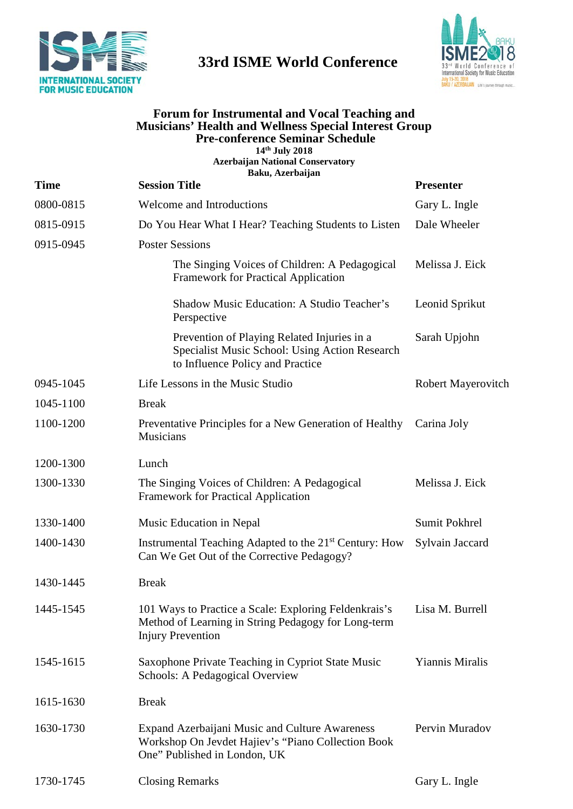

## **33rd ISME World Conference**



## **Forum for Instrumental and Vocal Teaching and Musicians' Health and Wellness Special Interest Group Pre-conference Seminar Schedule**

**14th July 2018 Azerbaijan National Conservatory Baku, Azerbaijan**

| <b>Time</b> | anu, Alet varjan<br><b>Session Title</b>                                                                                                 | <b>Presenter</b>          |
|-------------|------------------------------------------------------------------------------------------------------------------------------------------|---------------------------|
| 0800-0815   | Welcome and Introductions                                                                                                                | Gary L. Ingle             |
| 0815-0915   | Do You Hear What I Hear? Teaching Students to Listen                                                                                     | Dale Wheeler              |
| 0915-0945   | <b>Poster Sessions</b>                                                                                                                   |                           |
|             | The Singing Voices of Children: A Pedagogical<br><b>Framework for Practical Application</b>                                              | Melissa J. Eick           |
|             | Shadow Music Education: A Studio Teacher's<br>Perspective                                                                                | Leonid Sprikut            |
|             | Prevention of Playing Related Injuries in a<br>Specialist Music School: Using Action Research<br>to Influence Policy and Practice        | Sarah Upjohn              |
| 0945-1045   | Life Lessons in the Music Studio                                                                                                         | <b>Robert Mayerovitch</b> |
| 1045-1100   | <b>Break</b>                                                                                                                             |                           |
| 1100-1200   | Preventative Principles for a New Generation of Healthy<br>Musicians                                                                     | Carina Joly               |
| 1200-1300   | Lunch                                                                                                                                    |                           |
| 1300-1330   | The Singing Voices of Children: A Pedagogical<br><b>Framework for Practical Application</b>                                              | Melissa J. Eick           |
| 1330-1400   | Music Education in Nepal                                                                                                                 | Sumit Pokhrel             |
| 1400-1430   | Instrumental Teaching Adapted to the 21 <sup>st</sup> Century: How<br>Can We Get Out of the Corrective Pedagogy?                         | Sylvain Jaccard           |
| 1430-1445   | <b>Break</b>                                                                                                                             |                           |
| 1445-1545   | 101 Ways to Practice a Scale: Exploring Feldenkrais's<br>Method of Learning in String Pedagogy for Long-term<br><b>Injury Prevention</b> | Lisa M. Burrell           |
| 1545-1615   | Saxophone Private Teaching in Cypriot State Music<br><b>Schools: A Pedagogical Overview</b>                                              | <b>Yiannis Miralis</b>    |
| 1615-1630   | <b>Break</b>                                                                                                                             |                           |
| 1630-1730   | Expand Azerbaijani Music and Culture Awareness<br>Workshop On Jevdet Hajiev's "Piano Collection Book<br>One" Published in London, UK     | Pervin Muradov            |
| 1730-1745   | <b>Closing Remarks</b>                                                                                                                   | Gary L. Ingle             |